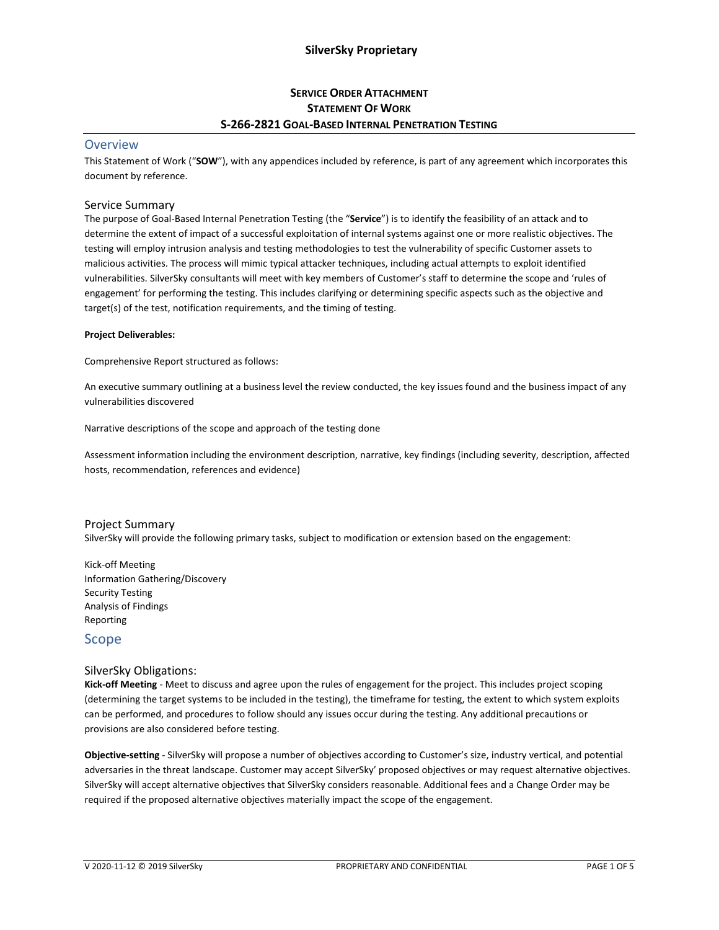## **SERVICE ORDER ATTACHMENT STATEMENT OF WORK S-266-2821 GOAL-BASED INTERNAL PENETRATION TESTING**

### **Overview**

This Statement of Work ("**SOW**"), with any appendices included by reference, is part of any agreement which incorporates this document by reference.

#### Service Summary

The purpose of Goal-Based Internal Penetration Testing (the "**Service**") is to identify the feasibility of an attack and to determine the extent of impact of a successful exploitation of internal systems against one or more realistic objectives. The testing will employ intrusion analysis and testing methodologies to test the vulnerability of specific Customer assets to malicious activities. The process will mimic typical attacker techniques, including actual attempts to exploit identified vulnerabilities. SilverSky consultants will meet with key members of Customer's staff to determine the scope and 'rules of engagement' for performing the testing. This includes clarifying or determining specific aspects such as the objective and target(s) of the test, notification requirements, and the timing of testing.

#### **Project Deliverables:**

Comprehensive Report structured as follows:

An executive summary outlining at a business level the review conducted, the key issues found and the business impact of any vulnerabilities discovered

Narrative descriptions of the scope and approach of the testing done

Assessment information including the environment description, narrative, key findings (including severity, description, affected hosts, recommendation, references and evidence)

#### Project Summary

SilverSky will provide the following primary tasks, subject to modification or extension based on the engagement:

Kick-off Meeting Information Gathering/Discovery Security Testing Analysis of Findings Reporting

### Scope

#### SilverSky Obligations:

**Kick-off Meeting** - Meet to discuss and agree upon the rules of engagement for the project. This includes project scoping (determining the target systems to be included in the testing), the timeframe for testing, the extent to which system exploits can be performed, and procedures to follow should any issues occur during the testing. Any additional precautions or provisions are also considered before testing.

**Objective-setting** - SilverSky will propose a number of objectives according to Customer's size, industry vertical, and potential adversaries in the threat landscape. Customer may accept SilverSky' proposed objectives or may request alternative objectives. SilverSky will accept alternative objectives that SilverSky considers reasonable. Additional fees and a Change Order may be required if the proposed alternative objectives materially impact the scope of the engagement.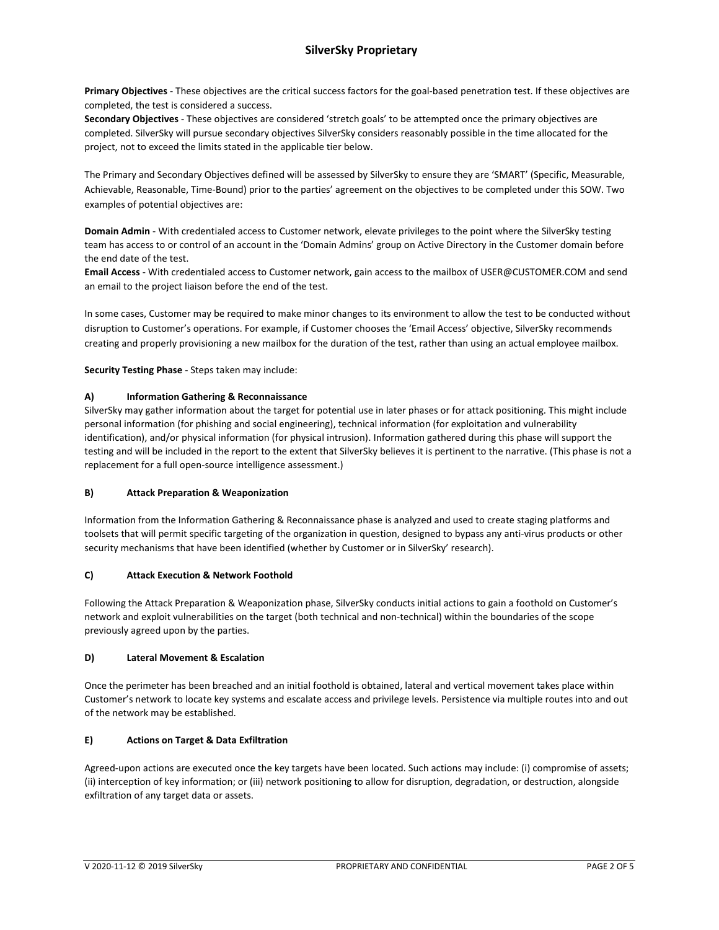**Primary Objectives** - These objectives are the critical success factors for the goal-based penetration test. If these objectives are completed, the test is considered a success.

**Secondary Objectives** - These objectives are considered 'stretch goals' to be attempted once the primary objectives are completed. SilverSky will pursue secondary objectives SilverSky considers reasonably possible in the time allocated for the project, not to exceed the limits stated in the applicable tier below.

The Primary and Secondary Objectives defined will be assessed by SilverSky to ensure they are 'SMART' (Specific, Measurable, Achievable, Reasonable, Time-Bound) prior to the parties' agreement on the objectives to be completed under this SOW. Two examples of potential objectives are:

**Domain Admin** - With credentialed access to Customer network, elevate privileges to the point where the SilverSky testing team has access to or control of an account in the 'Domain Admins' group on Active Directory in the Customer domain before the end date of the test.

**Email Access** - With credentialed access to Customer network, gain access to the mailbox of USER@CUSTOMER.COM and send an email to the project liaison before the end of the test.

In some cases, Customer may be required to make minor changes to its environment to allow the test to be conducted without disruption to Customer's operations. For example, if Customer chooses the 'Email Access' objective, SilverSky recommends creating and properly provisioning a new mailbox for the duration of the test, rather than using an actual employee mailbox.

**Security Testing Phase** - Steps taken may include:

#### **A) Information Gathering & Reconnaissance**

SilverSky may gather information about the target for potential use in later phases or for attack positioning. This might include personal information (for phishing and social engineering), technical information (for exploitation and vulnerability identification), and/or physical information (for physical intrusion). Information gathered during this phase will support the testing and will be included in the report to the extent that SilverSky believes it is pertinent to the narrative. (This phase is not a replacement for a full open-source intelligence assessment.)

#### **B) Attack Preparation & Weaponization**

Information from the Information Gathering & Reconnaissance phase is analyzed and used to create staging platforms and toolsets that will permit specific targeting of the organization in question, designed to bypass any anti-virus products or other security mechanisms that have been identified (whether by Customer or in SilverSky' research).

#### **C) Attack Execution & Network Foothold**

Following the Attack Preparation & Weaponization phase, SilverSky conducts initial actions to gain a foothold on Customer's network and exploit vulnerabilities on the target (both technical and non-technical) within the boundaries of the scope previously agreed upon by the parties.

#### **D) Lateral Movement & Escalation**

Once the perimeter has been breached and an initial foothold is obtained, lateral and vertical movement takes place within Customer's network to locate key systems and escalate access and privilege levels. Persistence via multiple routes into and out of the network may be established.

#### **E) Actions on Target & Data Exfiltration**

Agreed-upon actions are executed once the key targets have been located. Such actions may include: (i) compromise of assets; (ii) interception of key information; or (iii) network positioning to allow for disruption, degradation, or destruction, alongside exfiltration of any target data or assets.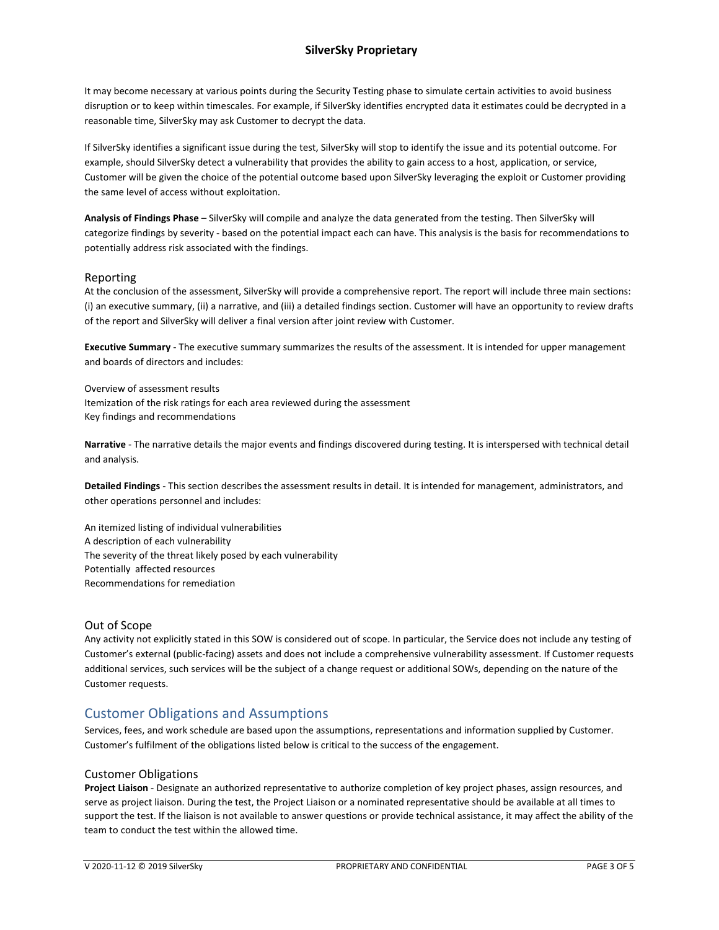## **SilverSky Proprietary**

It may become necessary at various points during the Security Testing phase to simulate certain activities to avoid business disruption or to keep within timescales. For example, if SilverSky identifies encrypted data it estimates could be decrypted in a reasonable time, SilverSky may ask Customer to decrypt the data.

If SilverSky identifies a significant issue during the test, SilverSky will stop to identify the issue and its potential outcome. For example, should SilverSky detect a vulnerability that provides the ability to gain access to a host, application, or service, Customer will be given the choice of the potential outcome based upon SilverSky leveraging the exploit or Customer providing the same level of access without exploitation.

**Analysis of Findings Phase** – SilverSky will compile and analyze the data generated from the testing. Then SilverSky will categorize findings by severity - based on the potential impact each can have. This analysis is the basis for recommendations to potentially address risk associated with the findings.

#### Reporting

At the conclusion of the assessment, SilverSky will provide a comprehensive report. The report will include three main sections: (i) an executive summary, (ii) a narrative, and (iii) a detailed findings section. Customer will have an opportunity to review drafts of the report and SilverSky will deliver a final version after joint review with Customer.

**Executive Summary** - The executive summary summarizes the results of the assessment. It is intended for upper management and boards of directors and includes:

Overview of assessment results Itemization of the risk ratings for each area reviewed during the assessment Key findings and recommendations

**Narrative** - The narrative details the major events and findings discovered during testing. It is interspersed with technical detail and analysis.

**Detailed Findings** - This section describes the assessment results in detail. It is intended for management, administrators, and other operations personnel and includes:

An itemized listing of individual vulnerabilities A description of each vulnerability The severity of the threat likely posed by each vulnerability Potentially affected resources Recommendations for remediation

#### Out of Scope

Any activity not explicitly stated in this SOW is considered out of scope. In particular, the Service does not include any testing of Customer's external (public-facing) assets and does not include a comprehensive vulnerability assessment. If Customer requests additional services, such services will be the subject of a change request or additional SOWs, depending on the nature of the Customer requests.

# Customer Obligations and Assumptions

Services, fees, and work schedule are based upon the assumptions, representations and information supplied by Customer. Customer's fulfilment of the obligations listed below is critical to the success of the engagement.

#### Customer Obligations

**Project Liaison** - Designate an authorized representative to authorize completion of key project phases, assign resources, and serve as project liaison. During the test, the Project Liaison or a nominated representative should be available at all times to support the test. If the liaison is not available to answer questions or provide technical assistance, it may affect the ability of the team to conduct the test within the allowed time.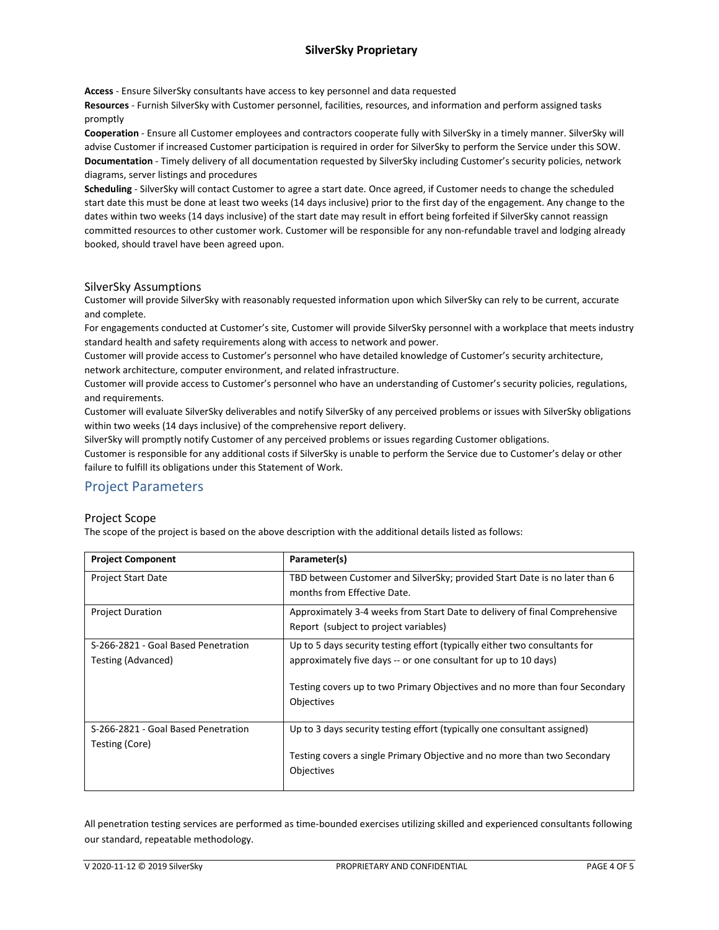## **SilverSky Proprietary**

**Access** - Ensure SilverSky consultants have access to key personnel and data requested

**Resources** - Furnish SilverSky with Customer personnel, facilities, resources, and information and perform assigned tasks promptly

**Cooperation** - Ensure all Customer employees and contractors cooperate fully with SilverSky in a timely manner. SilverSky will advise Customer if increased Customer participation is required in order for SilverSky to perform the Service under this SOW. **Documentation** - Timely delivery of all documentation requested by SilverSky including Customer's security policies, network diagrams, server listings and procedures

**Scheduling** - SilverSky will contact Customer to agree a start date. Once agreed, if Customer needs to change the scheduled start date this must be done at least two weeks (14 days inclusive) prior to the first day of the engagement. Any change to the dates within two weeks (14 days inclusive) of the start date may result in effort being forfeited if SilverSky cannot reassign committed resources to other customer work. Customer will be responsible for any non-refundable travel and lodging already booked, should travel have been agreed upon.

### SilverSky Assumptions

Customer will provide SilverSky with reasonably requested information upon which SilverSky can rely to be current, accurate and complete.

For engagements conducted at Customer's site, Customer will provide SilverSky personnel with a workplace that meets industry standard health and safety requirements along with access to network and power.

Customer will provide access to Customer's personnel who have detailed knowledge of Customer's security architecture, network architecture, computer environment, and related infrastructure.

Customer will provide access to Customer's personnel who have an understanding of Customer's security policies, regulations, and requirements.

Customer will evaluate SilverSky deliverables and notify SilverSky of any perceived problems or issues with SilverSky obligations within two weeks (14 days inclusive) of the comprehensive report delivery.

SilverSky will promptly notify Customer of any perceived problems or issues regarding Customer obligations.

Customer is responsible for any additional costs if SilverSky is unable to perform the Service due to Customer's delay or other failure to fulfill its obligations under this Statement of Work.

# Project Parameters

#### Project Scope

The scope of the project is based on the above description with the additional details listed as follows:

| <b>Project Component</b>                                  | Parameter(s)                                                                                                                                                                                                                               |
|-----------------------------------------------------------|--------------------------------------------------------------------------------------------------------------------------------------------------------------------------------------------------------------------------------------------|
| <b>Project Start Date</b>                                 | TBD between Customer and SilverSky; provided Start Date is no later than 6<br>months from Effective Date.                                                                                                                                  |
| <b>Project Duration</b>                                   | Approximately 3-4 weeks from Start Date to delivery of final Comprehensive<br>Report (subject to project variables)                                                                                                                        |
| S-266-2821 - Goal Based Penetration<br>Testing (Advanced) | Up to 5 days security testing effort (typically either two consultants for<br>approximately five days -- or one consultant for up to 10 days)<br>Testing covers up to two Primary Objectives and no more than four Secondary<br>Objectives |
| S-266-2821 - Goal Based Penetration<br>Testing (Core)     | Up to 3 days security testing effort (typically one consultant assigned)<br>Testing covers a single Primary Objective and no more than two Secondary<br>Objectives                                                                         |

All penetration testing services are performed as time-bounded exercises utilizing skilled and experienced consultants following our standard, repeatable methodology.